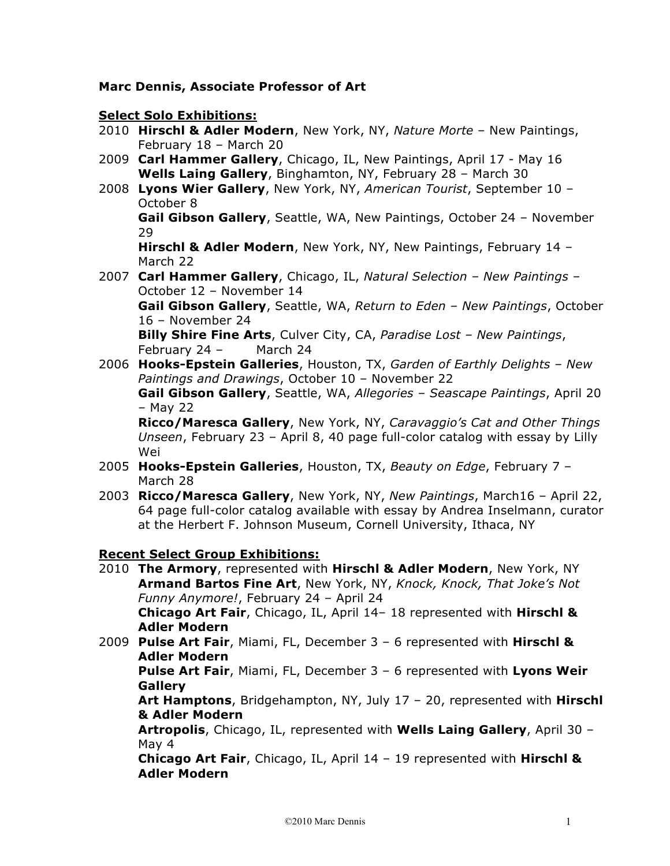## **Marc Dennis, Associate Professor of Art**

## **Select Solo Exhibitions:**

- 2010 **Hirschl & Adler Modern**, New York, NY, *Nature Morte* New Paintings, February 18 – March 20
- 2009 **Carl Hammer Gallery**, Chicago, IL, New Paintings, April 17 May 16 **Wells Laing Gallery**, Binghamton, NY, February 28 – March 30
- 2008 **Lyons Wier Gallery**, New York, NY, *American Tourist*, September 10 October 8

**Gail Gibson Gallery**, Seattle, WA, New Paintings, October 24 – November 29

**Hirschl & Adler Modern**, New York, NY, New Paintings, February 14 – March 22

2007 **Carl Hammer Gallery**, Chicago, IL, *Natural Selection – New Paintings* – October 12 – November 14

**Gail Gibson Gallery**, Seattle, WA, *Return to Eden – New Paintings*, October 16 – November 24

**Billy Shire Fine Arts**, Culver City, CA, *Paradise Lost – New Paintings*, February 24 – March 24

2006 **Hooks-Epstein Galleries**, Houston, TX, *Garden of Earthly Delights – New Paintings and Drawings*, October 10 – November 22

**Gail Gibson Gallery**, Seattle, WA, *Allegories – Seascape Paintings*, April 20 – May 22

**Ricco/Maresca Gallery**, New York, NY, *Caravaggio's Cat and Other Things Unseen*, February 23 – April 8, 40 page full-color catalog with essay by Lilly Wei

- 2005 **Hooks-Epstein Galleries**, Houston, TX, *Beauty on Edge*, February 7 March 28
- 2003 **Ricco/Maresca Gallery**, New York, NY, *New Paintings*, March16 April 22, 64 page full-color catalog available with essay by Andrea Inselmann, curator at the Herbert F. Johnson Museum, Cornell University, Ithaca, NY

## **Recent Select Group Exhibitions:**

2010 **The Armory**, represented with **Hirschl & Adler Modern**, New York, NY **Armand Bartos Fine Art**, New York, NY, *Knock, Knock, That Joke's Not Funny Anymore!*, February 24 – April 24 **Chicago Art Fair**, Chicago, IL, April 14– 18 represented with **Hirschl & Adler Modern** 2009 **Pulse Art Fair**, Miami, FL, December 3 – 6 represented with **Hirschl & Adler Modern Pulse Art Fair**, Miami, FL, December 3 – 6 represented with **Lyons Weir Gallery Art Hamptons**, Bridgehampton, NY, July 17 – 20, represented with **Hirschl & Adler Modern Artropolis**, Chicago, IL, represented with **Wells Laing Gallery**, April 30 – May 4

**Chicago Art Fair**, Chicago, IL, April 14 – 19 represented with **Hirschl & Adler Modern**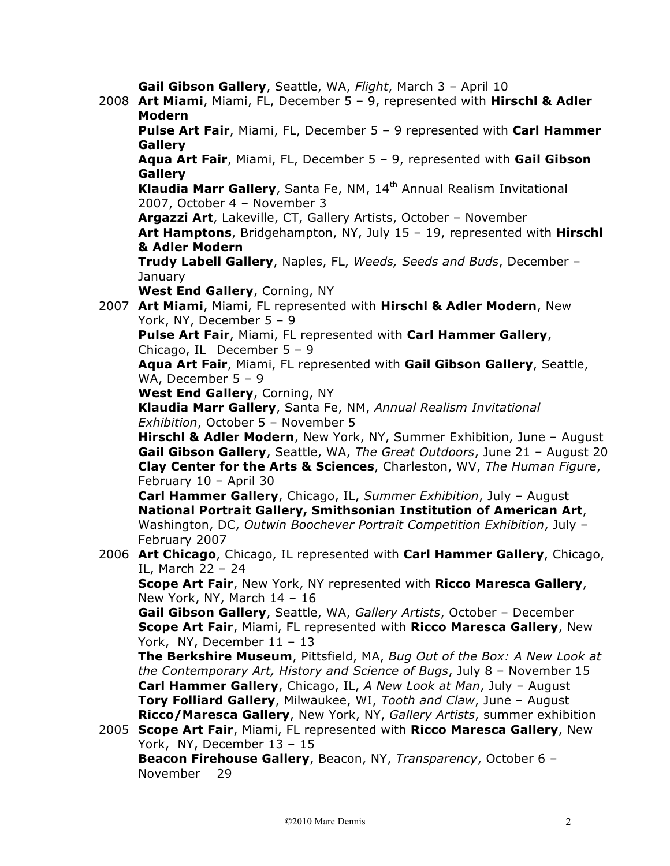**Gail Gibson Gallery**, Seattle, WA, *Flight*, March 3 – April 10 2008 **Art Miami**, Miami, FL, December 5 – 9, represented with **Hirschl & Adler Modern Pulse Art Fair**, Miami, FL, December 5 – 9 represented with **Carl Hammer Gallery Aqua Art Fair**, Miami, FL, December 5 – 9, represented with **Gail Gibson Gallery Klaudia Marr Gallery**, Santa Fe, NM, 14<sup>th</sup> Annual Realism Invitational 2007, October 4 – November 3 **Argazzi Art**, Lakeville, CT, Gallery Artists, October – November **Art Hamptons**, Bridgehampton, NY, July 15 – 19, represented with **Hirschl & Adler Modern Trudy Labell Gallery**, Naples, FL, *Weeds, Seeds and Buds*, December – **January West End Gallery**, Corning, NY 2007 **Art Miami**, Miami, FL represented with **Hirschl & Adler Modern**, New York, NY, December 5 – 9 **Pulse Art Fair**, Miami, FL represented with **Carl Hammer Gallery**, Chicago, IL December 5 – 9 **Aqua Art Fair**, Miami, FL represented with **Gail Gibson Gallery**, Seattle, WA, December 5 – 9 **West End Gallery**, Corning, NY **Klaudia Marr Gallery**, Santa Fe, NM, *Annual Realism Invitational Exhibition*, October 5 – November 5 **Hirschl & Adler Modern**, New York, NY, Summer Exhibition, June – August **Gail Gibson Gallery**, Seattle, WA, *The Great Outdoors*, June 21 – August 20 **Clay Center for the Arts & Sciences**, Charleston, WV, *The Human Figure*, February 10 – April 30 **Carl Hammer Gallery**, Chicago, IL, *Summer Exhibition*, July – August **National Portrait Gallery, Smithsonian Institution of American Art**, Washington, DC, *Outwin Boochever Portrait Competition Exhibition*, July – February 2007 2006 **Art Chicago**, Chicago, IL represented with **Carl Hammer Gallery**, Chicago, IL, March 22 – 24 **Scope Art Fair**, New York, NY represented with **Ricco Maresca Gallery**, New York, NY, March 14 – 16 **Gail Gibson Gallery**, Seattle, WA, *Gallery Artists*, October – December **Scope Art Fair**, Miami, FL represented with **Ricco Maresca Gallery**, New York, NY, December 11 – 13 **The Berkshire Museum**, Pittsfield, MA, *Bug Out of the Box: A New Look at the Contemporary Art, History and Science of Bugs*, July 8 – November 15 **Carl Hammer Gallery**, Chicago, IL, *A New Look at Man*, July – August **Tory Folliard Gallery**, Milwaukee, WI, *Tooth and Claw*, June – August **Ricco/Maresca Gallery**, New York, NY, *Gallery Artists*, summer exhibition 2005 **Scope Art Fair**, Miami, FL represented with **Ricco Maresca Gallery**, New York, NY, December 13 – 15 **Beacon Firehouse Gallery**, Beacon, NY, *Transparency*, October 6 –

November 29